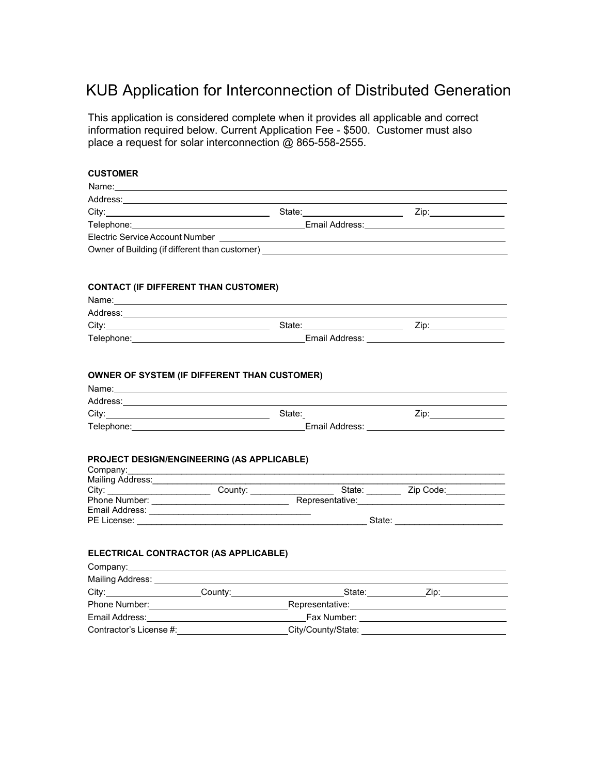# KUB Application for Interconnection of Distributed Generation

This application is considered complete when it provides all applicable and correct information required below. Current Application Fee - \$500. Customer must also place a request for solar interconnection @ 865-558-2555.

# **CUSTOMER**

| Name:                                                                            |                                                                                                                                                                                                                                |                                                                                                                                                                                                                                |
|----------------------------------------------------------------------------------|--------------------------------------------------------------------------------------------------------------------------------------------------------------------------------------------------------------------------------|--------------------------------------------------------------------------------------------------------------------------------------------------------------------------------------------------------------------------------|
| Address:                                                                         |                                                                                                                                                                                                                                |                                                                                                                                                                                                                                |
| City:                                                                            | State: with the state of the state of the state of the state of the state of the state of the state of the state of the state of the state of the state of the state of the state of the state of the state of the state of th | Zip: the contract of the contract of the contract of the contract of the contract of the contract of the contract of the contract of the contract of the contract of the contract of the contract of the contract of the contr |
|                                                                                  | Email Address:                                                                                                                                                                                                                 |                                                                                                                                                                                                                                |
| Electric Service Account Number                                                  |                                                                                                                                                                                                                                |                                                                                                                                                                                                                                |
| Owner of Building (if different than customer) _________________________________ |                                                                                                                                                                                                                                |                                                                                                                                                                                                                                |

# **CONTACT (IF DIFFERENT THAN CUSTOMER)**

| Name:      |                |      |
|------------|----------------|------|
| Address:   |                |      |
| City:      | State:         | Zip: |
| Telephone: | Email Address: |      |

## **OWNER OF SYSTEM (IF DIFFERENT THAN CUSTOMER)**

| Name:      |        |                |  |  |  |
|------------|--------|----------------|--|--|--|
| Address:   |        |                |  |  |  |
| City:      | State: | 7in:           |  |  |  |
| Telephone: |        | Email Address: |  |  |  |
|            |        |                |  |  |  |

### **PROJECT DESIGN/ENGINEERING (AS APPLICABLE)**

| Company:         |         |                 |           |
|------------------|---------|-----------------|-----------|
| Mailing Address: |         |                 |           |
| City:            | County: | State:          | Zip Code: |
| Phone Number:    |         | Representative: |           |
| Email Address:   |         |                 |           |
| PE License:      |         | State:          |           |

## **ELECTRICAL CONTRACTOR (AS APPLICABLE)**

| Mailing Address:                                                                                                                                                                                                               |                                                                                                                                                                                                                               |                                                                                                                 |                                                                                                      |  |
|--------------------------------------------------------------------------------------------------------------------------------------------------------------------------------------------------------------------------------|-------------------------------------------------------------------------------------------------------------------------------------------------------------------------------------------------------------------------------|-----------------------------------------------------------------------------------------------------------------|------------------------------------------------------------------------------------------------------|--|
| City: the contract of the contract of the contract of the contract of the contract of the contract of the contract of the contract of the contract of the contract of the contract of the contract of the contract of the cont | County: the country of the country of the country of the country of the country of the country of the country of the country of the country of the country of the country of the country of the country of the country of the | State:                                                                                                          | Zip: The Solid State State State State State State State State State State State State State State S |  |
| Phone Number:                                                                                                                                                                                                                  |                                                                                                                                                                                                                               | Representative:                                                                                                 |                                                                                                      |  |
| Email Address: _________________                                                                                                                                                                                               |                                                                                                                                                                                                                               | Fax Number: The Contract of the Contract of the Contract of the Contract of the Contract of the Contract of the |                                                                                                      |  |
| Contractor's License #:                                                                                                                                                                                                        |                                                                                                                                                                                                                               | City/County/State:                                                                                              |                                                                                                      |  |